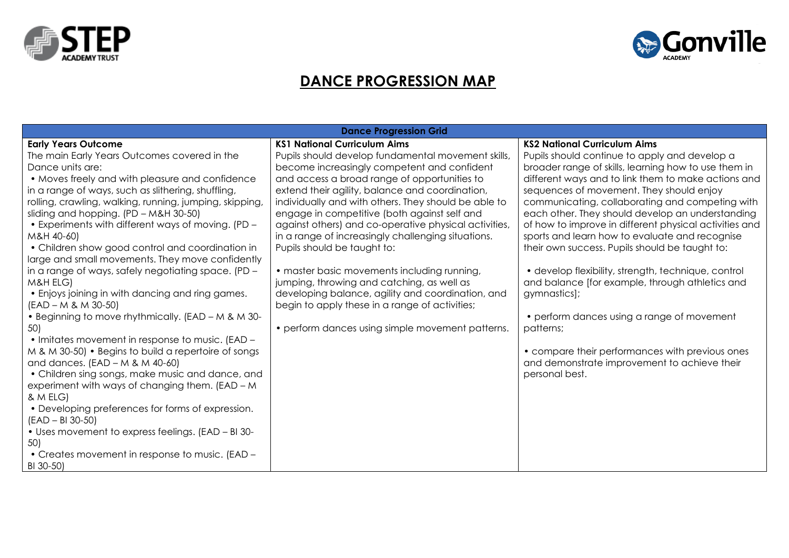



## **DANCE PROGRESSION MAP**

| <b>Dance Progression Grid</b>                                                                                                                                                                                                                                                                                                                                                                                                                                                                                                                                                                                                                                                                                                                                                                                                                                                                                                                                                                                                                                                                                                                                                       |                                                                                                                                                                                                                                                                                                                                                                                                                                                                                                                                                                                                                                                                                                                                                           |                                                                                                                                                                                                                                                                                                                                                                                                                                                                                                                                                                                                                                                                                                                                                                                                                                |  |  |  |  |  |
|-------------------------------------------------------------------------------------------------------------------------------------------------------------------------------------------------------------------------------------------------------------------------------------------------------------------------------------------------------------------------------------------------------------------------------------------------------------------------------------------------------------------------------------------------------------------------------------------------------------------------------------------------------------------------------------------------------------------------------------------------------------------------------------------------------------------------------------------------------------------------------------------------------------------------------------------------------------------------------------------------------------------------------------------------------------------------------------------------------------------------------------------------------------------------------------|-----------------------------------------------------------------------------------------------------------------------------------------------------------------------------------------------------------------------------------------------------------------------------------------------------------------------------------------------------------------------------------------------------------------------------------------------------------------------------------------------------------------------------------------------------------------------------------------------------------------------------------------------------------------------------------------------------------------------------------------------------------|--------------------------------------------------------------------------------------------------------------------------------------------------------------------------------------------------------------------------------------------------------------------------------------------------------------------------------------------------------------------------------------------------------------------------------------------------------------------------------------------------------------------------------------------------------------------------------------------------------------------------------------------------------------------------------------------------------------------------------------------------------------------------------------------------------------------------------|--|--|--|--|--|
| <b>Early Years Outcome</b><br>The main Early Years Outcomes covered in the<br>Dance units are:<br>• Moves freely and with pleasure and confidence<br>in a range of ways, such as slithering, shuffling,<br>rolling, crawling, walking, running, jumping, skipping,<br>sliding and hopping. (PD - M&H 30-50)<br>• Experiments with different ways of moving. (PD -<br>M&H 40-60)<br>• Children show good control and coordination in<br>large and small movements. They move confidently<br>in a range of ways, safely negotiating space. (PD -<br>M&H ELG)<br>• Enjoys joining in with dancing and ring games.<br>$(EAD - M & M & 30-50)$<br>• Beginning to move rhythmically. (EAD - M & M 30-<br>50)<br>• Imitates movement in response to music. (EAD -<br>M & M 30-50) • Begins to build a repertoire of songs<br>and dances. $[EAD - M & M 40-60]$<br>• Children sing songs, make music and dance, and<br>experiment with ways of changing them. $[EAD - M]$<br>& M ELG)<br>• Developing preferences for forms of expression.<br>(EAD - BI 30-50)<br>• Uses movement to express feelings. (EAD - BI 30-<br>50)<br>• Creates movement in response to music. (EAD -<br>BI 30-50) | <b>KS1 National Curriculum Aims</b><br>Pupils should develop fundamental movement skills,<br>become increasingly competent and confident<br>and access a broad range of opportunities to<br>extend their agility, balance and coordination,<br>individually and with others. They should be able to<br>engage in competitive (both against self and<br>against others) and co-operative physical activities,<br>in a range of increasingly challenging situations.<br>Pupils should be taught to:<br>• master basic movements including running,<br>jumping, throwing and catching, as well as<br>developing balance, agility and coordination, and<br>begin to apply these in a range of activities;<br>• perform dances using simple movement patterns. | <b>KS2 National Curriculum Aims</b><br>Pupils should continue to apply and develop a<br>broader range of skills, learning how to use them in<br>different ways and to link them to make actions and<br>sequences of movement. They should enjoy<br>communicating, collaborating and competing with<br>each other. They should develop an understanding<br>of how to improve in different physical activities and<br>sports and learn how to evaluate and recognise<br>their own success. Pupils should be taught to:<br>• develop flexibility, strength, technique, control<br>and balance [for example, through athletics and<br>gymnastics];<br>• perform dances using a range of movement<br>patterns;<br>• compare their performances with previous ones<br>and demonstrate improvement to achieve their<br>personal best. |  |  |  |  |  |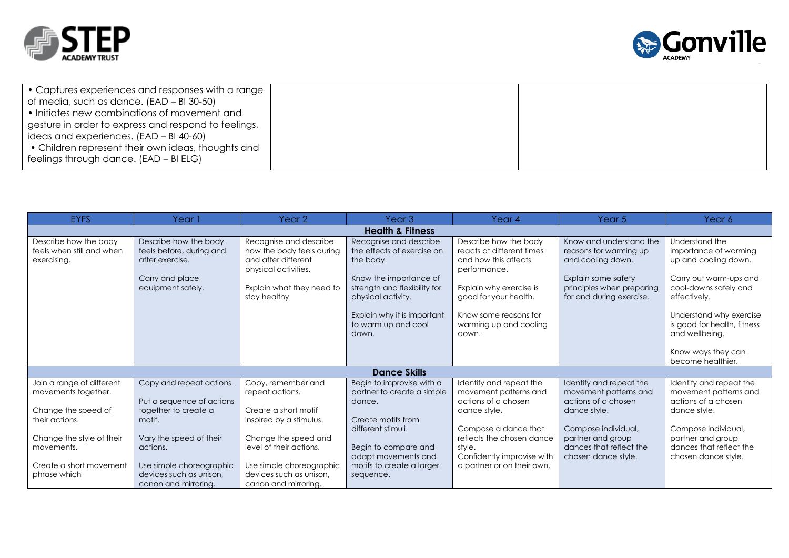



| • Captures experiences and responses with a range<br>$\vert$ of media, such as dance. (EAD – BI 30-50)<br>I • Initiates new combinations of movement and<br>gesture in order to express and respond to feelings,<br>$\vert$ ideas and experiences. (EAD – BI 40-60) |  |
|---------------------------------------------------------------------------------------------------------------------------------------------------------------------------------------------------------------------------------------------------------------------|--|
| $\vert \cdot \vert$ Children represent their own ideas, thoughts and<br>feelings through dance. (EAD - BI ELG)                                                                                                                                                      |  |

| EYFS                        | Year 1                                              | Year 2                                              | Year 3                                             | Year 4                                                   | Year 5                                                | Year 6                                                 |
|-----------------------------|-----------------------------------------------------|-----------------------------------------------------|----------------------------------------------------|----------------------------------------------------------|-------------------------------------------------------|--------------------------------------------------------|
| <b>Health &amp; Fitness</b> |                                                     |                                                     |                                                    |                                                          |                                                       |                                                        |
| Describe how the body       | Describe how the body                               | Recognise and describe                              | Recognise and describe                             | Describe how the body                                    | Know and understand the                               | Understand the                                         |
| feels when still and when   | feels before, during and                            | how the body feels during                           | the effects of exercise on                         | reacts at different times                                | reasons for warming up                                | importance of warming                                  |
| exercising.                 | after exercise.                                     | and after different<br>physical activities.         | the body.                                          | and how this affects<br>performance.                     | and cooling down.                                     | up and cooling down.                                   |
|                             | Carry and place                                     |                                                     | Know the importance of                             |                                                          | Explain some safety                                   | Carry out warm-ups and                                 |
|                             | equipment safely.                                   | Explain what they need to<br>stay healthy           | strength and flexibility for<br>physical activity. | Explain why exercise is<br>good for your health.         | principles when preparing<br>for and during exercise. | cool-downs safely and<br>effectively.                  |
|                             |                                                     |                                                     | Explain why it is important<br>to warm up and cool | Know some reasons for<br>warming up and cooling          |                                                       | Understand why exercise<br>is good for health, fitness |
|                             |                                                     |                                                     | down.                                              | down.                                                    |                                                       | and wellbeing.                                         |
|                             |                                                     |                                                     |                                                    |                                                          |                                                       | Know ways they can<br>become healthier.                |
|                             |                                                     |                                                     | <b>Dance Skills</b>                                |                                                          |                                                       |                                                        |
| Join a range of different   | Copy and repeat actions.                            | Copy, remember and                                  | Begin to improvise with a                          | Identify and repeat the                                  | Identify and repeat the                               | Identify and repeat the                                |
| movements together.         |                                                     | repeat actions.                                     | partner to create a simple                         | movement patterns and                                    | movement patterns and                                 | movement patterns and                                  |
|                             | Put a sequence of actions                           |                                                     | dance.                                             | actions of a chosen                                      | actions of a chosen                                   | actions of a chosen                                    |
| Change the speed of         | together to create a                                | Create a short motif                                |                                                    | dance style.                                             | dance style.                                          | dance style.                                           |
| their actions.              | motif.                                              | inspired by a stimulus.                             | Create motifs from                                 |                                                          |                                                       |                                                        |
|                             |                                                     |                                                     | different stimuli.                                 | Compose a dance that                                     | Compose individual.                                   | Compose individual,                                    |
| Change the style of their   | Vary the speed of their                             | Change the speed and                                |                                                    | reflects the chosen dance                                | partner and group                                     | partner and group                                      |
| movements.                  | actions.                                            | level of their actions.                             | Begin to compare and                               | style.                                                   | dances that reflect the                               | dances that reflect the                                |
| Create a short movement     |                                                     |                                                     | adapt movements and                                | Confidently improvise with<br>a partner or on their own. | chosen dance style.                                   | chosen dance style.                                    |
| phrase which                | Use simple choreographic<br>devices such as unison, | Use simple choreographic<br>devices such as unison, | motifs to create a larger<br>sequence.             |                                                          |                                                       |                                                        |
|                             | canon and mirroring.                                | canon and mirroring.                                |                                                    |                                                          |                                                       |                                                        |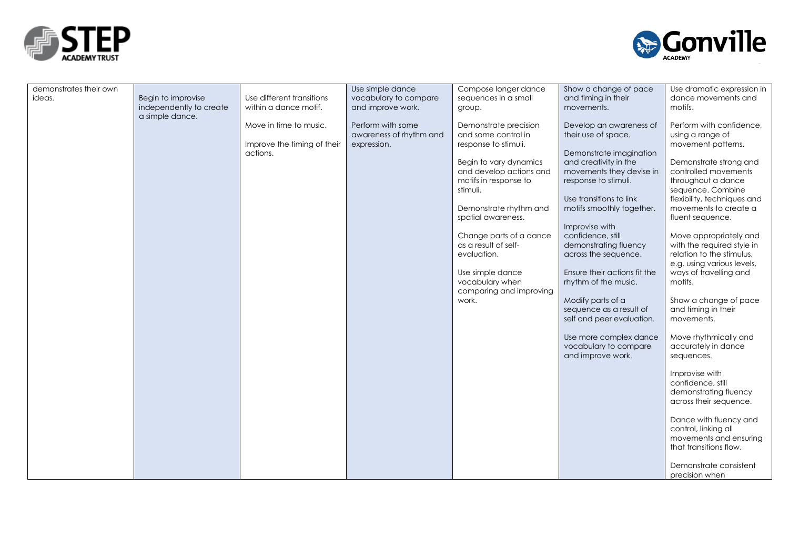



| demonstrates their own |                         |                             | Use simple dance        | Compose longer dance    | Show a change of pace        | Use dramatic expression in  |
|------------------------|-------------------------|-----------------------------|-------------------------|-------------------------|------------------------------|-----------------------------|
| ideas.                 | Begin to improvise      | Use different transitions   | vocabulary to compare   | sequences in a small    | and timing in their          | dance movements and         |
|                        | independently to create | within a dance motif.       | and improve work.       | group.                  | movements.                   | motifs.                     |
|                        | a simple dance.         |                             |                         |                         |                              |                             |
|                        |                         | Move in time to music.      | Perform with some       | Demonstrate precision   | Develop an awareness of      | Perform with confidence.    |
|                        |                         |                             | awareness of rhythm and | and some control in     | their use of space.          | using a range of            |
|                        |                         | Improve the timing of their | expression.             | response to stimuli.    |                              | movement patterns.          |
|                        |                         | actions.                    |                         |                         | Demonstrate imagination      |                             |
|                        |                         |                             |                         | Begin to vary dynamics  | and creativity in the        | Demonstrate strong and      |
|                        |                         |                             |                         | and develop actions and | movements they devise in     | controlled movements        |
|                        |                         |                             |                         | motifs in response to   | response to stimuli.         | throughout a dance          |
|                        |                         |                             |                         | stimuli.                |                              | sequence. Combine           |
|                        |                         |                             |                         |                         | Use transitions to link      |                             |
|                        |                         |                             |                         |                         |                              | flexibility, techniques and |
|                        |                         |                             |                         | Demonstrate rhythm and  | motifs smoothly together.    | movements to create a       |
|                        |                         |                             |                         | spatial awareness.      |                              | fluent sequence.            |
|                        |                         |                             |                         |                         | Improvise with               |                             |
|                        |                         |                             |                         | Change parts of a dance | confidence, still            | Move appropriately and      |
|                        |                         |                             |                         | as a result of self-    | demonstrating fluency        | with the required style in  |
|                        |                         |                             |                         | evaluation.             | across the sequence.         | relation to the stimulus,   |
|                        |                         |                             |                         |                         |                              | e.g. using various levels,  |
|                        |                         |                             |                         | Use simple dance        | Ensure their actions fit the | ways of travelling and      |
|                        |                         |                             |                         | vocabulary when         | rhythm of the music.         | motifs.                     |
|                        |                         |                             |                         | comparing and improving |                              |                             |
|                        |                         |                             |                         | work.                   | Modify parts of a            | Show a change of pace       |
|                        |                         |                             |                         |                         | sequence as a result of      | and timing in their         |
|                        |                         |                             |                         |                         | self and peer evaluation.    | movements.                  |
|                        |                         |                             |                         |                         |                              |                             |
|                        |                         |                             |                         |                         | Use more complex dance       | Move rhythmically and       |
|                        |                         |                             |                         |                         | vocabulary to compare        | accurately in dance         |
|                        |                         |                             |                         |                         | and improve work.            | sequences.                  |
|                        |                         |                             |                         |                         |                              |                             |
|                        |                         |                             |                         |                         |                              |                             |
|                        |                         |                             |                         |                         |                              | Improvise with              |
|                        |                         |                             |                         |                         |                              | confidence, still           |
|                        |                         |                             |                         |                         |                              | demonstrating fluency       |
|                        |                         |                             |                         |                         |                              | across their sequence.      |
|                        |                         |                             |                         |                         |                              |                             |
|                        |                         |                             |                         |                         |                              | Dance with fluency and      |
|                        |                         |                             |                         |                         |                              | control, linking all        |
|                        |                         |                             |                         |                         |                              | movements and ensuring      |
|                        |                         |                             |                         |                         |                              | that transitions flow.      |
|                        |                         |                             |                         |                         |                              |                             |
|                        |                         |                             |                         |                         |                              | Demonstrate consistent      |
|                        |                         |                             |                         |                         |                              | precision when              |